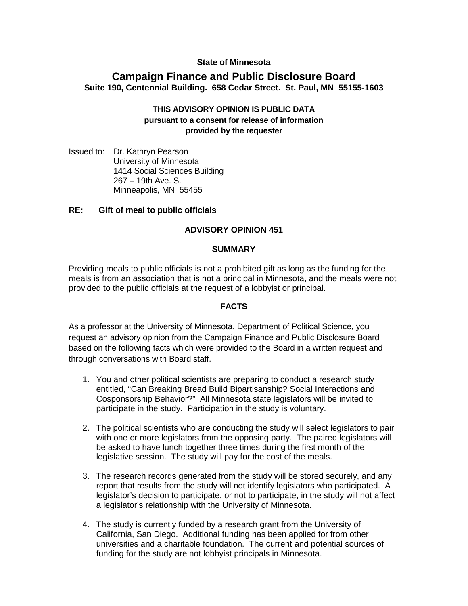# **State of Minnesota**

# **Campaign Finance and Public Disclosure Board Suite 190, Centennial Building. 658 Cedar Street. St. Paul, MN 55155-1603**

## **THIS ADVISORY OPINION IS PUBLIC DATA pursuant to a consent for release of information provided by the requester**

Issued to: Dr. Kathryn Pearson University of Minnesota 1414 Social Sciences Building 267 – 19th Ave. S. Minneapolis, MN 55455

# **RE: Gift of meal to public officials**

### **ADVISORY OPINION 451**

#### **SUMMARY**

Providing meals to public officials is not a prohibited gift as long as the funding for the meals is from an association that is not a principal in Minnesota, and the meals were not provided to the public officials at the request of a lobbyist or principal.

#### **FACTS**

As a professor at the University of Minnesota, Department of Political Science, you request an advisory opinion from the Campaign Finance and Public Disclosure Board based on the following facts which were provided to the Board in a written request and through conversations with Board staff.

- 1. You and other political scientists are preparing to conduct a research study entitled, "Can Breaking Bread Build Bipartisanship? Social Interactions and Cosponsorship Behavior?" All Minnesota state legislators will be invited to participate in the study. Participation in the study is voluntary.
- 2. The political scientists who are conducting the study will select legislators to pair with one or more legislators from the opposing party. The paired legislators will be asked to have lunch together three times during the first month of the legislative session. The study will pay for the cost of the meals.
- 3. The research records generated from the study will be stored securely, and any report that results from the study will not identify legislators who participated. A legislator's decision to participate, or not to participate, in the study will not affect a legislator's relationship with the University of Minnesota.
- 4. The study is currently funded by a research grant from the University of California, San Diego. Additional funding has been applied for from other universities and a charitable foundation. The current and potential sources of funding for the study are not lobbyist principals in Minnesota.